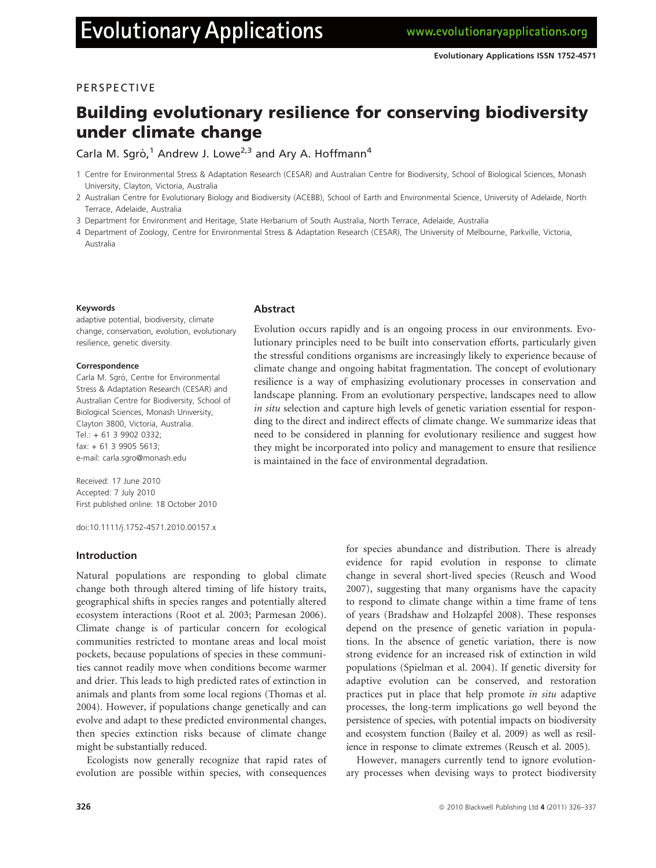### PERSPECTIVE

# Building evolutionary resilience for conserving biodiversity under climate change

Carla M. Sgrò,<sup>1</sup> Andrew J. Lowe<sup>2,3</sup> and Ary A. Hoffmann<sup>4</sup>

1 Centre for Environmental Stress & Adaptation Research (CESAR) and Australian Centre for Biodiversity, School of Biological Sciences, Monash University, Clayton, Victoria, Australia

2 Australian Centre for Evolutionary Biology and Biodiversity (ACEBB), School of Earth and Environmental Science, University of Adelaide, North Terrace, Adelaide, Australia

3 Department for Environment and Heritage, State Herbarium of South Australia, North Terrace, Adelaide, Australia

4 Department of Zoology, Centre for Environmental Stress & Adaptation Research (CESAR), The University of Melbourne, Parkville, Victoria, Australia

#### Keywords

adaptive potential, biodiversity, climate change, conservation, evolution, evolutionary resilience, genetic diversity.

#### Correspondence

Carla M. Sgrò, Centre for Environmental Stress & Adaptation Research (CESAR) and Australian Centre for Biodiversity, School of Biological Sciences, Monash University, Clayton 3800, Victoria, Australia. Tel.: + 61 3 9902 0332; fax: + 61 3 9905 5613; e-mail: carla.sgro@monash.edu

Received: 17 June 2010 Accepted: 7 July 2010 First published online: 18 October 2010

doi:10.1111/j.1752-4571.2010.00157.x

#### Introduction

Natural populations are responding to global climate change both through altered timing of life history traits, geographical shifts in species ranges and potentially altered ecosystem interactions (Root et al. 2003; Parmesan 2006). Climate change is of particular concern for ecological communities restricted to montane areas and local moist pockets, because populations of species in these communities cannot readily move when conditions become warmer and drier. This leads to high predicted rates of extinction in animals and plants from some local regions (Thomas et al. 2004). However, if populations change genetically and can evolve and adapt to these predicted environmental changes, then species extinction risks because of climate change might be substantially reduced.

Ecologists now generally recognize that rapid rates of evolution are possible within species, with consequences

#### Abstract

Evolution occurs rapidly and is an ongoing process in our environments. Evolutionary principles need to be built into conservation efforts, particularly given the stressful conditions organisms are increasingly likely to experience because of climate change and ongoing habitat fragmentation. The concept of evolutionary resilience is a way of emphasizing evolutionary processes in conservation and landscape planning. From an evolutionary perspective, landscapes need to allow in situ selection and capture high levels of genetic variation essential for responding to the direct and indirect effects of climate change. We summarize ideas that need to be considered in planning for evolutionary resilience and suggest how they might be incorporated into policy and management to ensure that resilience is maintained in the face of environmental degradation.

> for species abundance and distribution. There is already evidence for rapid evolution in response to climate change in several short-lived species (Reusch and Wood 2007), suggesting that many organisms have the capacity to respond to climate change within a time frame of tens of years (Bradshaw and Holzapfel 2008). These responses depend on the presence of genetic variation in populations. In the absence of genetic variation, there is now strong evidence for an increased risk of extinction in wild populations (Spielman et al. 2004). If genetic diversity for adaptive evolution can be conserved, and restoration practices put in place that help promote in situ adaptive processes, the long-term implications go well beyond the persistence of species, with potential impacts on biodiversity and ecosystem function (Bailey et al. 2009) as well as resilience in response to climate extremes (Reusch et al. 2005).

> However, managers currently tend to ignore evolutionary processes when devising ways to protect biodiversity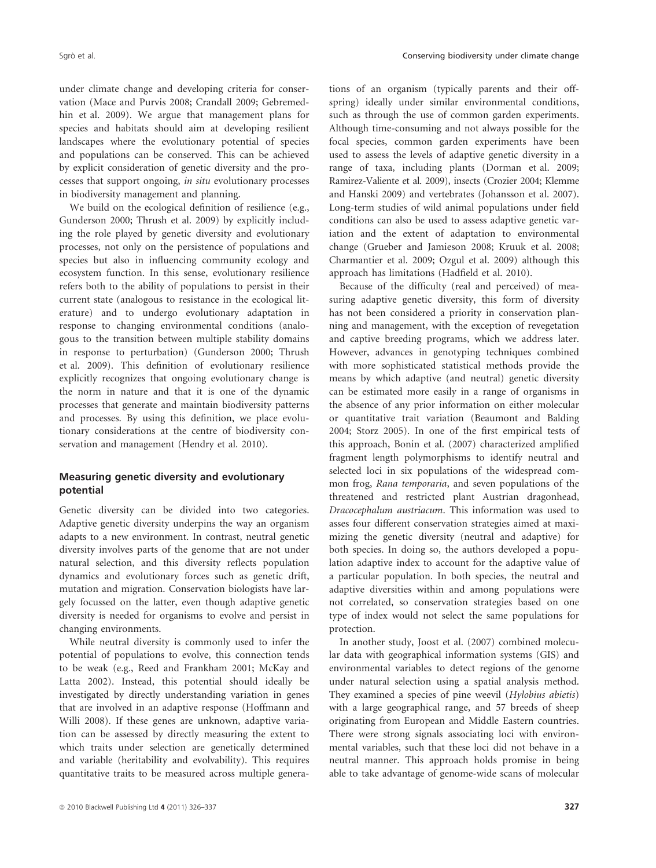under climate change and developing criteria for conservation (Mace and Purvis 2008; Crandall 2009; Gebremedhin et al. 2009). We argue that management plans for species and habitats should aim at developing resilient landscapes where the evolutionary potential of species and populations can be conserved. This can be achieved by explicit consideration of genetic diversity and the processes that support ongoing, in situ evolutionary processes in biodiversity management and planning.

We build on the ecological definition of resilience (e.g., Gunderson 2000; Thrush et al. 2009) by explicitly including the role played by genetic diversity and evolutionary processes, not only on the persistence of populations and species but also in influencing community ecology and ecosystem function. In this sense, evolutionary resilience refers both to the ability of populations to persist in their current state (analogous to resistance in the ecological literature) and to undergo evolutionary adaptation in response to changing environmental conditions (analogous to the transition between multiple stability domains in response to perturbation) (Gunderson 2000; Thrush et al. 2009). This definition of evolutionary resilience explicitly recognizes that ongoing evolutionary change is the norm in nature and that it is one of the dynamic processes that generate and maintain biodiversity patterns and processes. By using this definition, we place evolutionary considerations at the centre of biodiversity conservation and management (Hendry et al. 2010).

### Measuring genetic diversity and evolutionary potential

Genetic diversity can be divided into two categories. Adaptive genetic diversity underpins the way an organism adapts to a new environment. In contrast, neutral genetic diversity involves parts of the genome that are not under natural selection, and this diversity reflects population dynamics and evolutionary forces such as genetic drift, mutation and migration. Conservation biologists have largely focussed on the latter, even though adaptive genetic diversity is needed for organisms to evolve and persist in changing environments.

While neutral diversity is commonly used to infer the potential of populations to evolve, this connection tends to be weak (e.g., Reed and Frankham 2001; McKay and Latta 2002). Instead, this potential should ideally be investigated by directly understanding variation in genes that are involved in an adaptive response (Hoffmann and Willi 2008). If these genes are unknown, adaptive variation can be assessed by directly measuring the extent to which traits under selection are genetically determined and variable (heritability and evolvability). This requires quantitative traits to be measured across multiple generations of an organism (typically parents and their offspring) ideally under similar environmental conditions, such as through the use of common garden experiments. Although time-consuming and not always possible for the focal species, common garden experiments have been used to assess the levels of adaptive genetic diversity in a range of taxa, including plants (Dorman et al. 2009; Ramirez-Valiente et al. 2009), insects (Crozier 2004; Klemme and Hanski 2009) and vertebrates (Johansson et al. 2007). Long-term studies of wild animal populations under field conditions can also be used to assess adaptive genetic variation and the extent of adaptation to environmental change (Grueber and Jamieson 2008; Kruuk et al. 2008; Charmantier et al. 2009; Ozgul et al. 2009) although this approach has limitations (Hadfield et al. 2010).

Because of the difficulty (real and perceived) of measuring adaptive genetic diversity, this form of diversity has not been considered a priority in conservation planning and management, with the exception of revegetation and captive breeding programs, which we address later. However, advances in genotyping techniques combined with more sophisticated statistical methods provide the means by which adaptive (and neutral) genetic diversity can be estimated more easily in a range of organisms in the absence of any prior information on either molecular or quantitative trait variation (Beaumont and Balding 2004; Storz 2005). In one of the first empirical tests of this approach, Bonin et al. (2007) characterized amplified fragment length polymorphisms to identify neutral and selected loci in six populations of the widespread common frog, Rana temporaria, and seven populations of the threatened and restricted plant Austrian dragonhead, Dracocephalum austriacum. This information was used to asses four different conservation strategies aimed at maximizing the genetic diversity (neutral and adaptive) for both species. In doing so, the authors developed a population adaptive index to account for the adaptive value of a particular population. In both species, the neutral and adaptive diversities within and among populations were not correlated, so conservation strategies based on one type of index would not select the same populations for protection.

In another study, Joost et al. (2007) combined molecular data with geographical information systems (GIS) and environmental variables to detect regions of the genome under natural selection using a spatial analysis method. They examined a species of pine weevil (Hylobius abietis) with a large geographical range, and 57 breeds of sheep originating from European and Middle Eastern countries. There were strong signals associating loci with environmental variables, such that these loci did not behave in a neutral manner. This approach holds promise in being able to take advantage of genome-wide scans of molecular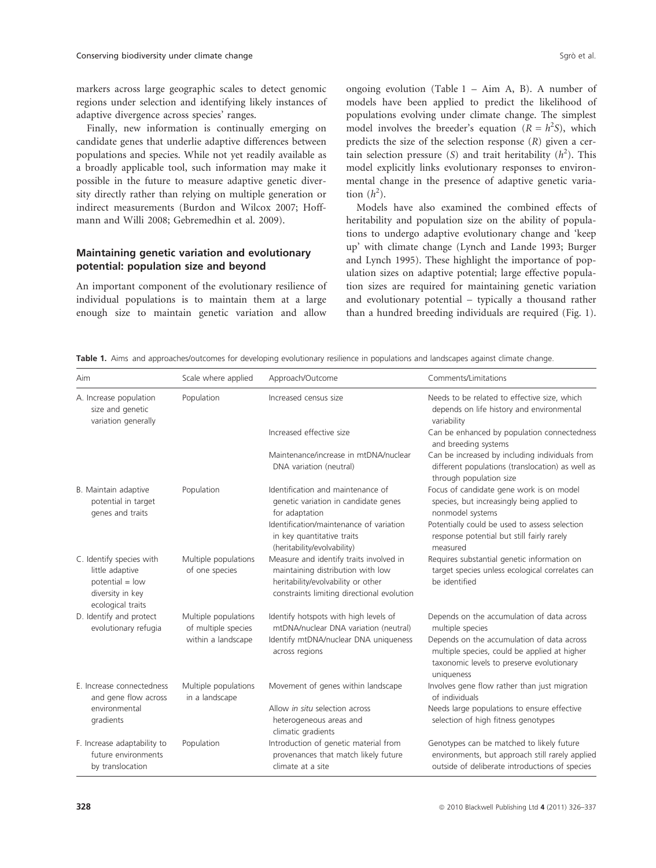Finally, new information is continually emerging on candidate genes that underlie adaptive differences between populations and species. While not yet readily available as a broadly applicable tool, such information may make it possible in the future to measure adaptive genetic diversity directly rather than relying on multiple generation or indirect measurements (Burdon and Wilcox 2007; Hoffmann and Willi 2008; Gebremedhin et al. 2009).

### Maintaining genetic variation and evolutionary potential: population size and beyond

An important component of the evolutionary resilience of individual populations is to maintain them at a large enough size to maintain genetic variation and allow ongoing evolution (Table  $1 - Aim A$ , B). A number of models have been applied to predict the likelihood of populations evolving under climate change. The simplest model involves the breeder's equation  $(R = h^2S)$ , which predicts the size of the selection response  $(R)$  given a certain selection pressure (S) and trait heritability  $(h^2)$ . This model explicitly links evolutionary responses to environmental change in the presence of adaptive genetic variation  $(h^2)$ .

Models have also examined the combined effects of heritability and population size on the ability of populations to undergo adaptive evolutionary change and 'keep up' with climate change (Lynch and Lande 1993; Burger and Lynch 1995). These highlight the importance of population sizes on adaptive potential; large effective population sizes are required for maintaining genetic variation and evolutionary potential – typically a thousand rather than a hundred breeding individuals are required (Fig. 1).

Table 1. Aims and approaches/outcomes for developing evolutionary resilience in populations and landscapes against climate change.

| Aim                                                                                                       | Scale where applied                                               | Approach/Outcome                                                                                                                                                 | Comments/Limitations                                                                                                                                        |
|-----------------------------------------------------------------------------------------------------------|-------------------------------------------------------------------|------------------------------------------------------------------------------------------------------------------------------------------------------------------|-------------------------------------------------------------------------------------------------------------------------------------------------------------|
| A. Increase population<br>size and genetic<br>variation generally                                         | Population                                                        | Increased census size                                                                                                                                            | Needs to be related to effective size, which<br>depends on life history and environmental<br>variability                                                    |
|                                                                                                           |                                                                   | Increased effective size                                                                                                                                         | Can be enhanced by population connectedness<br>and breeding systems                                                                                         |
|                                                                                                           |                                                                   | Maintenance/increase in mtDNA/nuclear<br>DNA variation (neutral)                                                                                                 | Can be increased by including individuals from<br>different populations (translocation) as well as<br>through population size                               |
| B. Maintain adaptive<br>potential in target<br>genes and traits                                           | Population                                                        | Identification and maintenance of<br>genetic variation in candidate genes<br>for adaptation<br>Identification/maintenance of variation                           | Focus of candidate gene work is on model<br>species, but increasingly being applied to<br>nonmodel systems<br>Potentially could be used to assess selection |
|                                                                                                           |                                                                   | in key quantitative traits<br>(heritability/evolvability)                                                                                                        | response potential but still fairly rarely<br>measured                                                                                                      |
| C. Identify species with<br>little adaptive<br>$potential = low$<br>diversity in key<br>ecological traits | Multiple populations<br>of one species                            | Measure and identify traits involved in<br>maintaining distribution with low<br>heritability/evolvability or other<br>constraints limiting directional evolution | Requires substantial genetic information on<br>target species unless ecological correlates can<br>be identified                                             |
| D. Identify and protect<br>evolutionary refugia                                                           | Multiple populations<br>of multiple species<br>within a landscape | Identify hotspots with high levels of<br>mtDNA/nuclear DNA variation (neutral)                                                                                   | Depends on the accumulation of data across<br>multiple species                                                                                              |
|                                                                                                           |                                                                   | Identify mtDNA/nuclear DNA uniqueness<br>across regions                                                                                                          | Depends on the accumulation of data across<br>multiple species, could be applied at higher<br>taxonomic levels to preserve evolutionary<br>uniqueness       |
| E. Increase connectedness<br>and gene flow across<br>environmental<br>gradients                           | Multiple populations<br>in a landscape                            | Movement of genes within landscape                                                                                                                               | Involves gene flow rather than just migration<br>of individuals                                                                                             |
|                                                                                                           |                                                                   | Allow in situ selection across<br>heterogeneous areas and<br>climatic gradients                                                                                  | Needs large populations to ensure effective<br>selection of high fitness genotypes                                                                          |
| F. Increase adaptability to<br>future environments<br>by translocation                                    | Population                                                        | Introduction of genetic material from<br>provenances that match likely future<br>climate at a site                                                               | Genotypes can be matched to likely future<br>environments, but approach still rarely applied<br>outside of deliberate introductions of species              |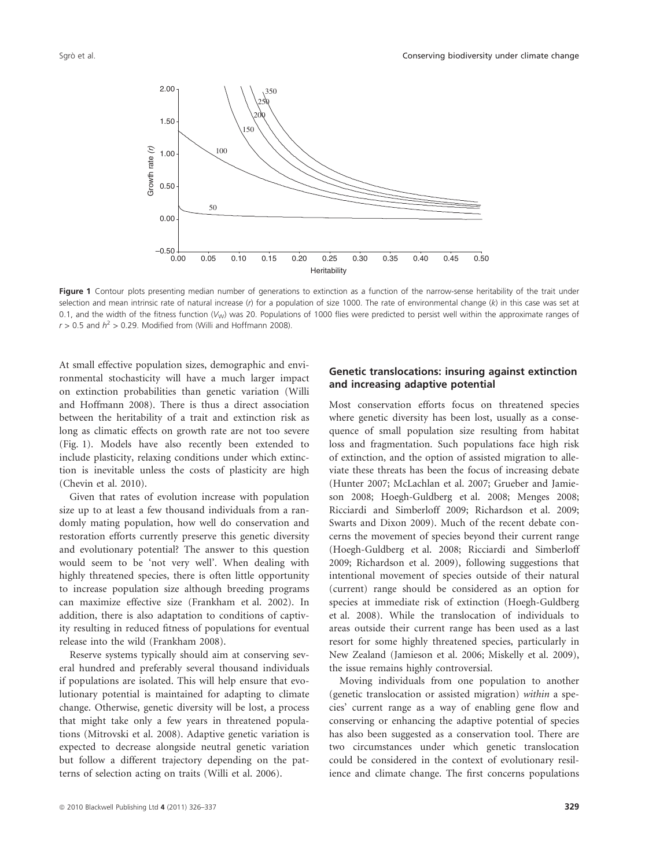

Figure 1 Contour plots presenting median number of generations to extinction as a function of the narrow-sense heritability of the trait under selection and mean intrinsic rate of natural increase (r) for a population of size 1000. The rate of environmental change (k) in this case was set at 0.1, and the width of the fitness function  $(V_W)$  was 20. Populations of 1000 flies were predicted to persist well within the approximate ranges of  $r > 0.5$  and  $h^2 > 0.29$ . Modified from (Willi and Hoffmann 2008).

At small effective population sizes, demographic and environmental stochasticity will have a much larger impact on extinction probabilities than genetic variation (Willi and Hoffmann 2008). There is thus a direct association between the heritability of a trait and extinction risk as long as climatic effects on growth rate are not too severe (Fig. 1). Models have also recently been extended to include plasticity, relaxing conditions under which extinction is inevitable unless the costs of plasticity are high (Chevin et al. 2010).

Given that rates of evolution increase with population size up to at least a few thousand individuals from a randomly mating population, how well do conservation and restoration efforts currently preserve this genetic diversity and evolutionary potential? The answer to this question would seem to be 'not very well'. When dealing with highly threatened species, there is often little opportunity to increase population size although breeding programs can maximize effective size (Frankham et al. 2002). In addition, there is also adaptation to conditions of captivity resulting in reduced fitness of populations for eventual release into the wild (Frankham 2008).

Reserve systems typically should aim at conserving several hundred and preferably several thousand individuals if populations are isolated. This will help ensure that evolutionary potential is maintained for adapting to climate change. Otherwise, genetic diversity will be lost, a process that might take only a few years in threatened populations (Mitrovski et al. 2008). Adaptive genetic variation is expected to decrease alongside neutral genetic variation but follow a different trajectory depending on the patterns of selection acting on traits (Willi et al. 2006).

# Genetic translocations: insuring against extinction and increasing adaptive potential

Most conservation efforts focus on threatened species where genetic diversity has been lost, usually as a consequence of small population size resulting from habitat loss and fragmentation. Such populations face high risk of extinction, and the option of assisted migration to alleviate these threats has been the focus of increasing debate (Hunter 2007; McLachlan et al. 2007; Grueber and Jamieson 2008; Hoegh-Guldberg et al. 2008; Menges 2008; Ricciardi and Simberloff 2009; Richardson et al. 2009; Swarts and Dixon 2009). Much of the recent debate concerns the movement of species beyond their current range (Hoegh-Guldberg et al. 2008; Ricciardi and Simberloff 2009; Richardson et al. 2009), following suggestions that intentional movement of species outside of their natural (current) range should be considered as an option for species at immediate risk of extinction (Hoegh-Guldberg et al. 2008). While the translocation of individuals to areas outside their current range has been used as a last resort for some highly threatened species, particularly in New Zealand (Jamieson et al. 2006; Miskelly et al. 2009), the issue remains highly controversial.

Moving individuals from one population to another (genetic translocation or assisted migration) within a species' current range as a way of enabling gene flow and conserving or enhancing the adaptive potential of species has also been suggested as a conservation tool. There are two circumstances under which genetic translocation could be considered in the context of evolutionary resilience and climate change. The first concerns populations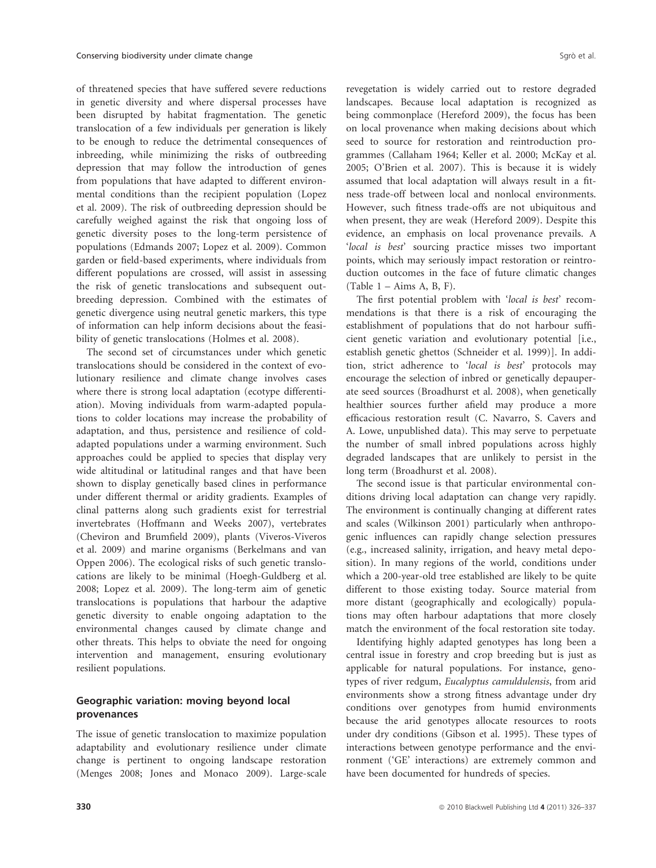of threatened species that have suffered severe reductions in genetic diversity and where dispersal processes have been disrupted by habitat fragmentation. The genetic translocation of a few individuals per generation is likely to be enough to reduce the detrimental consequences of inbreeding, while minimizing the risks of outbreeding depression that may follow the introduction of genes from populations that have adapted to different environmental conditions than the recipient population (Lopez et al. 2009). The risk of outbreeding depression should be carefully weighed against the risk that ongoing loss of genetic diversity poses to the long-term persistence of populations (Edmands 2007; Lopez et al. 2009). Common garden or field-based experiments, where individuals from different populations are crossed, will assist in assessing the risk of genetic translocations and subsequent outbreeding depression. Combined with the estimates of genetic divergence using neutral genetic markers, this type of information can help inform decisions about the feasibility of genetic translocations (Holmes et al. 2008).

The second set of circumstances under which genetic translocations should be considered in the context of evolutionary resilience and climate change involves cases where there is strong local adaptation (ecotype differentiation). Moving individuals from warm-adapted populations to colder locations may increase the probability of adaptation, and thus, persistence and resilience of coldadapted populations under a warming environment. Such approaches could be applied to species that display very wide altitudinal or latitudinal ranges and that have been shown to display genetically based clines in performance under different thermal or aridity gradients. Examples of clinal patterns along such gradients exist for terrestrial invertebrates (Hoffmann and Weeks 2007), vertebrates (Cheviron and Brumfield 2009), plants (Viveros-Viveros et al. 2009) and marine organisms (Berkelmans and van Oppen 2006). The ecological risks of such genetic translocations are likely to be minimal (Hoegh-Guldberg et al. 2008; Lopez et al. 2009). The long-term aim of genetic translocations is populations that harbour the adaptive genetic diversity to enable ongoing adaptation to the environmental changes caused by climate change and other threats. This helps to obviate the need for ongoing intervention and management, ensuring evolutionary resilient populations.

## Geographic variation: moving beyond local provenances

The issue of genetic translocation to maximize population adaptability and evolutionary resilience under climate change is pertinent to ongoing landscape restoration (Menges 2008; Jones and Monaco 2009). Large-scale revegetation is widely carried out to restore degraded landscapes. Because local adaptation is recognized as being commonplace (Hereford 2009), the focus has been on local provenance when making decisions about which seed to source for restoration and reintroduction programmes (Callaham 1964; Keller et al. 2000; McKay et al. 2005; O'Brien et al. 2007). This is because it is widely assumed that local adaptation will always result in a fitness trade-off between local and nonlocal environments. However, such fitness trade-offs are not ubiquitous and when present, they are weak (Hereford 2009). Despite this evidence, an emphasis on local provenance prevails. A 'local is best' sourcing practice misses two important points, which may seriously impact restoration or reintroduction outcomes in the face of future climatic changes  $(Table 1 - Aims A, B, F).$ 

The first potential problem with 'local is best' recommendations is that there is a risk of encouraging the establishment of populations that do not harbour sufficient genetic variation and evolutionary potential [i.e., establish genetic ghettos (Schneider et al. 1999)]. In addition, strict adherence to 'local is best' protocols may encourage the selection of inbred or genetically depauperate seed sources (Broadhurst et al. 2008), when genetically healthier sources further afield may produce a more efficacious restoration result (C. Navarro, S. Cavers and A. Lowe, unpublished data). This may serve to perpetuate the number of small inbred populations across highly degraded landscapes that are unlikely to persist in the long term (Broadhurst et al. 2008).

The second issue is that particular environmental conditions driving local adaptation can change very rapidly. The environment is continually changing at different rates and scales (Wilkinson 2001) particularly when anthropogenic influences can rapidly change selection pressures (e.g., increased salinity, irrigation, and heavy metal deposition). In many regions of the world, conditions under which a 200-year-old tree established are likely to be quite different to those existing today. Source material from more distant (geographically and ecologically) populations may often harbour adaptations that more closely match the environment of the focal restoration site today.

Identifying highly adapted genotypes has long been a central issue in forestry and crop breeding but is just as applicable for natural populations. For instance, genotypes of river redgum, Eucalyptus camuldulensis, from arid environments show a strong fitness advantage under dry conditions over genotypes from humid environments because the arid genotypes allocate resources to roots under dry conditions (Gibson et al. 1995). These types of interactions between genotype performance and the environment ('GE' interactions) are extremely common and have been documented for hundreds of species.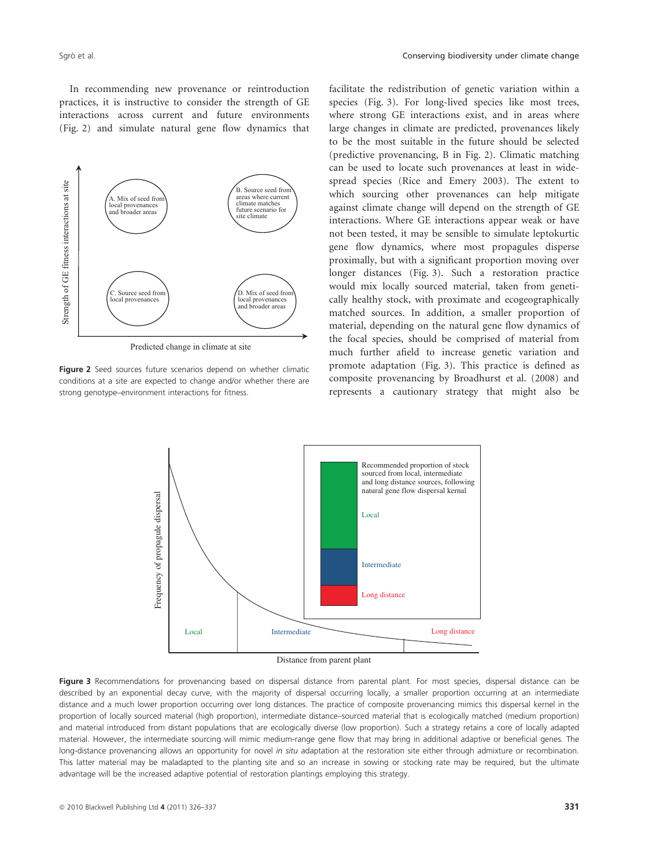In recommending new provenance or reintroduction practices, it is instructive to consider the strength of GE interactions across current and future environments (Fig. 2) and simulate natural gene flow dynamics that



Predicted change in climate at site

Figure 2 Seed sources future scenarios depend on whether climatic conditions at a site are expected to change and/or whether there are strong genotype–environment interactions for fitness.

facilitate the redistribution of genetic variation within a species (Fig. 3). For long-lived species like most trees, where strong GE interactions exist, and in areas where large changes in climate are predicted, provenances likely to be the most suitable in the future should be selected (predictive provenancing, B in Fig. 2). Climatic matching can be used to locate such provenances at least in widespread species (Rice and Emery 2003). The extent to which sourcing other provenances can help mitigate against climate change will depend on the strength of GE interactions. Where GE interactions appear weak or have not been tested, it may be sensible to simulate leptokurtic gene flow dynamics, where most propagules disperse proximally, but with a significant proportion moving over longer distances (Fig. 3). Such a restoration practice would mix locally sourced material, taken from genetically healthy stock, with proximate and ecogeographically matched sources. In addition, a smaller proportion of material, depending on the natural gene flow dynamics of the focal species, should be comprised of material from much further afield to increase genetic variation and promote adaptation (Fig. 3). This practice is defined as composite provenancing by Broadhurst et al. (2008) and represents a cautionary strategy that might also be



Figure 3 Recommendations for provenancing based on dispersal distance from parental plant. For most species, dispersal distance can be described by an exponential decay curve, with the majority of dispersal occurring locally, a smaller proportion occurring at an intermediate distance and a much lower proportion occurring over long distances. The practice of composite provenancing mimics this dispersal kernel in the proportion of locally sourced material (high proportion), intermediate distance–sourced material that is ecologically matched (medium proportion) and material introduced from distant populations that are ecologically diverse (low proportion). Such a strategy retains a core of locally adapted material. However, the intermediate sourcing will mimic medium-range gene flow that may bring in additional adaptive or beneficial genes. The long-distance provenancing allows an opportunity for novel in situ adaptation at the restoration site either through admixture or recombination. This latter material may be maladapted to the planting site and so an increase in sowing or stocking rate may be required, but the ultimate advantage will be the increased adaptive potential of restoration plantings employing this strategy.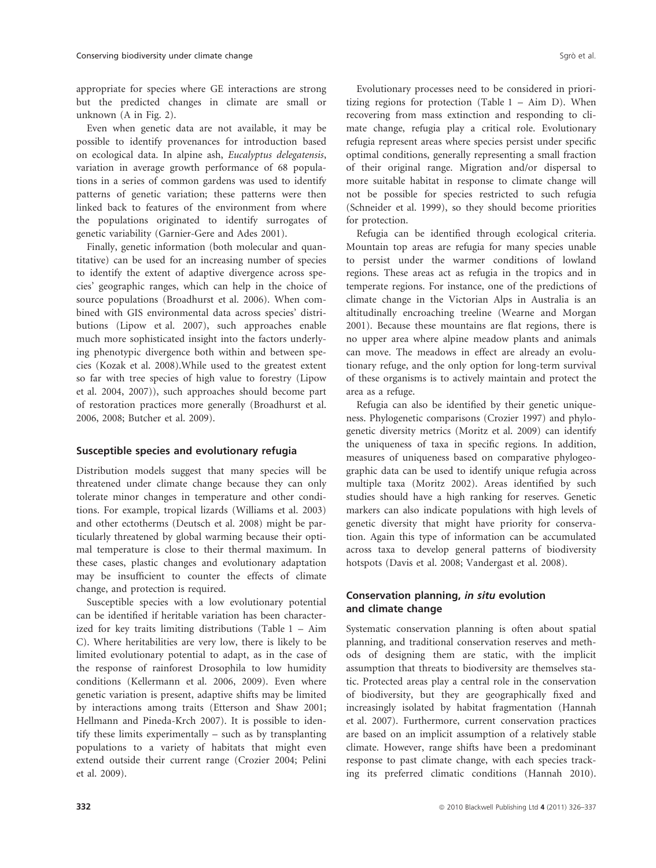appropriate for species where GE interactions are strong but the predicted changes in climate are small or unknown (A in Fig. 2).

Even when genetic data are not available, it may be possible to identify provenances for introduction based on ecological data. In alpine ash, Eucalyptus delegatensis, variation in average growth performance of 68 populations in a series of common gardens was used to identify patterns of genetic variation; these patterns were then linked back to features of the environment from where the populations originated to identify surrogates of genetic variability (Garnier-Gere and Ades 2001).

Finally, genetic information (both molecular and quantitative) can be used for an increasing number of species to identify the extent of adaptive divergence across species' geographic ranges, which can help in the choice of source populations (Broadhurst et al. 2006). When combined with GIS environmental data across species' distributions (Lipow et al. 2007), such approaches enable much more sophisticated insight into the factors underlying phenotypic divergence both within and between species (Kozak et al. 2008).While used to the greatest extent so far with tree species of high value to forestry (Lipow et al. 2004, 2007)), such approaches should become part of restoration practices more generally (Broadhurst et al. 2006, 2008; Butcher et al. 2009).

### Susceptible species and evolutionary refugia

Distribution models suggest that many species will be threatened under climate change because they can only tolerate minor changes in temperature and other conditions. For example, tropical lizards (Williams et al. 2003) and other ectotherms (Deutsch et al. 2008) might be particularly threatened by global warming because their optimal temperature is close to their thermal maximum. In these cases, plastic changes and evolutionary adaptation may be insufficient to counter the effects of climate change, and protection is required.

Susceptible species with a low evolutionary potential can be identified if heritable variation has been characterized for key traits limiting distributions (Table 1 – Aim C). Where heritabilities are very low, there is likely to be limited evolutionary potential to adapt, as in the case of the response of rainforest Drosophila to low humidity conditions (Kellermann et al. 2006, 2009). Even where genetic variation is present, adaptive shifts may be limited by interactions among traits (Etterson and Shaw 2001; Hellmann and Pineda-Krch 2007). It is possible to identify these limits experimentally – such as by transplanting populations to a variety of habitats that might even extend outside their current range (Crozier 2004; Pelini et al. 2009).

Evolutionary processes need to be considered in prioritizing regions for protection (Table  $1 - Aim$  D). When recovering from mass extinction and responding to climate change, refugia play a critical role. Evolutionary refugia represent areas where species persist under specific optimal conditions, generally representing a small fraction of their original range. Migration and/or dispersal to more suitable habitat in response to climate change will not be possible for species restricted to such refugia (Schneider et al. 1999), so they should become priorities for protection.

Refugia can be identified through ecological criteria. Mountain top areas are refugia for many species unable to persist under the warmer conditions of lowland regions. These areas act as refugia in the tropics and in temperate regions. For instance, one of the predictions of climate change in the Victorian Alps in Australia is an altitudinally encroaching treeline (Wearne and Morgan 2001). Because these mountains are flat regions, there is no upper area where alpine meadow plants and animals can move. The meadows in effect are already an evolutionary refuge, and the only option for long-term survival of these organisms is to actively maintain and protect the area as a refuge.

Refugia can also be identified by their genetic uniqueness. Phylogenetic comparisons (Crozier 1997) and phylogenetic diversity metrics (Moritz et al. 2009) can identify the uniqueness of taxa in specific regions. In addition, measures of uniqueness based on comparative phylogeographic data can be used to identify unique refugia across multiple taxa (Moritz 2002). Areas identified by such studies should have a high ranking for reserves. Genetic markers can also indicate populations with high levels of genetic diversity that might have priority for conservation. Again this type of information can be accumulated across taxa to develop general patterns of biodiversity hotspots (Davis et al. 2008; Vandergast et al. 2008).

### Conservation planning, in situ evolution and climate change

Systematic conservation planning is often about spatial planning, and traditional conservation reserves and methods of designing them are static, with the implicit assumption that threats to biodiversity are themselves static. Protected areas play a central role in the conservation of biodiversity, but they are geographically fixed and increasingly isolated by habitat fragmentation (Hannah et al. 2007). Furthermore, current conservation practices are based on an implicit assumption of a relatively stable climate. However, range shifts have been a predominant response to past climate change, with each species tracking its preferred climatic conditions (Hannah 2010).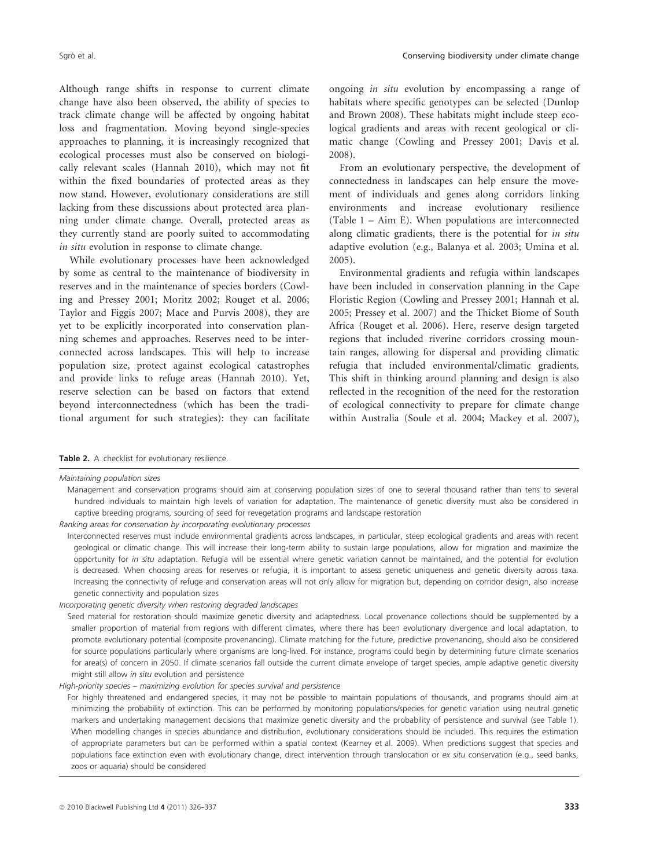Although range shifts in response to current climate change have also been observed, the ability of species to track climate change will be affected by ongoing habitat loss and fragmentation. Moving beyond single-species approaches to planning, it is increasingly recognized that ecological processes must also be conserved on biologically relevant scales (Hannah 2010), which may not fit within the fixed boundaries of protected areas as they now stand. However, evolutionary considerations are still lacking from these discussions about protected area planning under climate change. Overall, protected areas as they currently stand are poorly suited to accommodating in situ evolution in response to climate change.

While evolutionary processes have been acknowledged by some as central to the maintenance of biodiversity in reserves and in the maintenance of species borders (Cowling and Pressey 2001; Moritz 2002; Rouget et al. 2006; Taylor and Figgis 2007; Mace and Purvis 2008), they are yet to be explicitly incorporated into conservation planning schemes and approaches. Reserves need to be interconnected across landscapes. This will help to increase population size, protect against ecological catastrophes and provide links to refuge areas (Hannah 2010). Yet, reserve selection can be based on factors that extend beyond interconnectedness (which has been the traditional argument for such strategies): they can facilitate ongoing in situ evolution by encompassing a range of habitats where specific genotypes can be selected (Dunlop and Brown 2008). These habitats might include steep ecological gradients and areas with recent geological or climatic change (Cowling and Pressey 2001; Davis et al. 2008).

From an evolutionary perspective, the development of connectedness in landscapes can help ensure the movement of individuals and genes along corridors linking environments and increase evolutionary resilience (Table 1 – Aim E). When populations are interconnected along climatic gradients, there is the potential for in situ adaptive evolution (e.g., Balanya et al. 2003; Umina et al. 2005).

Environmental gradients and refugia within landscapes have been included in conservation planning in the Cape Floristic Region (Cowling and Pressey 2001; Hannah et al. 2005; Pressey et al. 2007) and the Thicket Biome of South Africa (Rouget et al. 2006). Here, reserve design targeted regions that included riverine corridors crossing mountain ranges, allowing for dispersal and providing climatic refugia that included environmental/climatic gradients. This shift in thinking around planning and design is also reflected in the recognition of the need for the restoration of ecological connectivity to prepare for climate change within Australia (Soule et al. 2004; Mackey et al. 2007),

#### Table 2. A checklist for evolutionary resilience.

Maintaining population sizes

Ranking areas for conservation by incorporating evolutionary processes

Incorporating genetic diversity when restoring degraded landscapes

Seed material for restoration should maximize genetic diversity and adaptedness. Local provenance collections should be supplemented by a smaller proportion of material from regions with different climates, where there has been evolutionary divergence and local adaptation, to promote evolutionary potential (composite provenancing). Climate matching for the future, predictive provenancing, should also be considered for source populations particularly where organisms are long-lived. For instance, programs could begin by determining future climate scenarios for area(s) of concern in 2050. If climate scenarios fall outside the current climate envelope of target species, ample adaptive genetic diversity might still allow in situ evolution and persistence

High-priority species – maximizing evolution for species survival and persistence

For highly threatened and endangered species, it may not be possible to maintain populations of thousands, and programs should aim at minimizing the probability of extinction. This can be performed by monitoring populations/species for genetic variation using neutral genetic markers and undertaking management decisions that maximize genetic diversity and the probability of persistence and survival (see Table 1). When modelling changes in species abundance and distribution, evolutionary considerations should be included. This requires the estimation of appropriate parameters but can be performed within a spatial context (Kearney et al. 2009). When predictions suggest that species and populations face extinction even with evolutionary change, direct intervention through translocation or ex situ conservation (e.g., seed banks, zoos or aquaria) should be considered

Management and conservation programs should aim at conserving population sizes of one to several thousand rather than tens to several hundred individuals to maintain high levels of variation for adaptation. The maintenance of genetic diversity must also be considered in captive breeding programs, sourcing of seed for revegetation programs and landscape restoration

Interconnected reserves must include environmental gradients across landscapes, in particular, steep ecological gradients and areas with recent geological or climatic change. This will increase their long-term ability to sustain large populations, allow for migration and maximize the opportunity for in situ adaptation. Refugia will be essential where genetic variation cannot be maintained, and the potential for evolution is decreased. When choosing areas for reserves or refugia, it is important to assess genetic uniqueness and genetic diversity across taxa. Increasing the connectivity of refuge and conservation areas will not only allow for migration but, depending on corridor design, also increase genetic connectivity and population sizes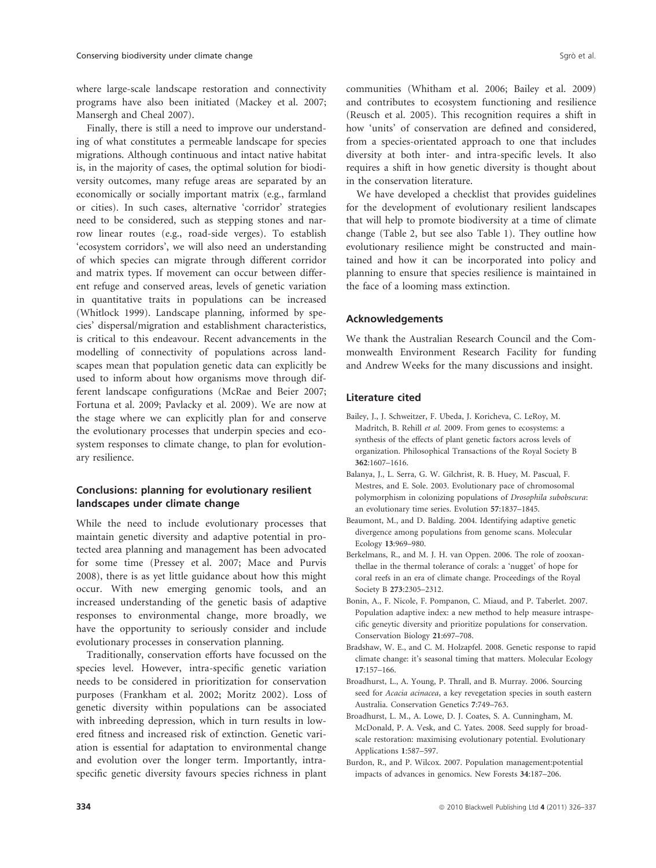where large-scale landscape restoration and connectivity programs have also been initiated (Mackey et al. 2007; Mansergh and Cheal 2007).

Finally, there is still a need to improve our understanding of what constitutes a permeable landscape for species migrations. Although continuous and intact native habitat is, in the majority of cases, the optimal solution for biodiversity outcomes, many refuge areas are separated by an economically or socially important matrix (e.g., farmland or cities). In such cases, alternative 'corridor' strategies need to be considered, such as stepping stones and narrow linear routes (e.g., road-side verges). To establish 'ecosystem corridors', we will also need an understanding of which species can migrate through different corridor and matrix types. If movement can occur between different refuge and conserved areas, levels of genetic variation in quantitative traits in populations can be increased (Whitlock 1999). Landscape planning, informed by species' dispersal/migration and establishment characteristics, is critical to this endeavour. Recent advancements in the modelling of connectivity of populations across landscapes mean that population genetic data can explicitly be used to inform about how organisms move through different landscape configurations (McRae and Beier 2007; Fortuna et al. 2009; Pavlacky et al. 2009). We are now at the stage where we can explicitly plan for and conserve the evolutionary processes that underpin species and ecosystem responses to climate change, to plan for evolutionary resilience.

### Conclusions: planning for evolutionary resilient landscapes under climate change

While the need to include evolutionary processes that maintain genetic diversity and adaptive potential in protected area planning and management has been advocated for some time (Pressey et al. 2007; Mace and Purvis 2008), there is as yet little guidance about how this might occur. With new emerging genomic tools, and an increased understanding of the genetic basis of adaptive responses to environmental change, more broadly, we have the opportunity to seriously consider and include evolutionary processes in conservation planning.

Traditionally, conservation efforts have focussed on the species level. However, intra-specific genetic variation needs to be considered in prioritization for conservation purposes (Frankham et al. 2002; Moritz 2002). Loss of genetic diversity within populations can be associated with inbreeding depression, which in turn results in lowered fitness and increased risk of extinction. Genetic variation is essential for adaptation to environmental change and evolution over the longer term. Importantly, intraspecific genetic diversity favours species richness in plant communities (Whitham et al. 2006; Bailey et al. 2009) and contributes to ecosystem functioning and resilience (Reusch et al. 2005). This recognition requires a shift in how 'units' of conservation are defined and considered, from a species-orientated approach to one that includes diversity at both inter- and intra-specific levels. It also requires a shift in how genetic diversity is thought about in the conservation literature.

We have developed a checklist that provides guidelines for the development of evolutionary resilient landscapes that will help to promote biodiversity at a time of climate change (Table 2, but see also Table 1). They outline how evolutionary resilience might be constructed and maintained and how it can be incorporated into policy and planning to ensure that species resilience is maintained in the face of a looming mass extinction.

### Acknowledgements

We thank the Australian Research Council and the Commonwealth Environment Research Facility for funding and Andrew Weeks for the many discussions and insight.

### Literature cited

- Bailey, J., J. Schweitzer, F. Ubeda, J. Koricheva, C. LeRoy, M. Madritch, B. Rehill et al. 2009. From genes to ecosystems: a synthesis of the effects of plant genetic factors across levels of organization. Philosophical Transactions of the Royal Society B 362:1607–1616.
- Balanya, J., L. Serra, G. W. Gilchrist, R. B. Huey, M. Pascual, F. Mestres, and E. Sole. 2003. Evolutionary pace of chromosomal polymorphism in colonizing populations of Drosophila subobscura: an evolutionary time series. Evolution 57:1837–1845.
- Beaumont, M., and D. Balding. 2004. Identifying adaptive genetic divergence among populations from genome scans. Molecular Ecology 13:969–980.
- Berkelmans, R., and M. J. H. van Oppen. 2006. The role of zooxanthellae in the thermal tolerance of corals: a 'nugget' of hope for coral reefs in an era of climate change. Proceedings of the Royal Society B 273:2305–2312.
- Bonin, A., F. Nicole, F. Pompanon, C. Miaud, and P. Taberlet. 2007. Population adaptive index: a new method to help measure intraspecific geneytic diversity and prioritize populations for conservation. Conservation Biology 21:697–708.
- Bradshaw, W. E., and C. M. Holzapfel. 2008. Genetic response to rapid climate change: it's seasonal timing that matters. Molecular Ecology 17:157–166.
- Broadhurst, L., A. Young, P. Thrall, and B. Murray. 2006. Sourcing seed for Acacia acinacea, a key revegetation species in south eastern Australia. Conservation Genetics 7:749–763.
- Broadhurst, L. M., A. Lowe, D. J. Coates, S. A. Cunningham, M. McDonald, P. A. Vesk, and C. Yates. 2008. Seed supply for broadscale restoration: maximising evolutionary potential. Evolutionary Applications 1:587–597.
- Burdon, R., and P. Wilcox. 2007. Population management:potential impacts of advances in genomics. New Forests 34:187–206.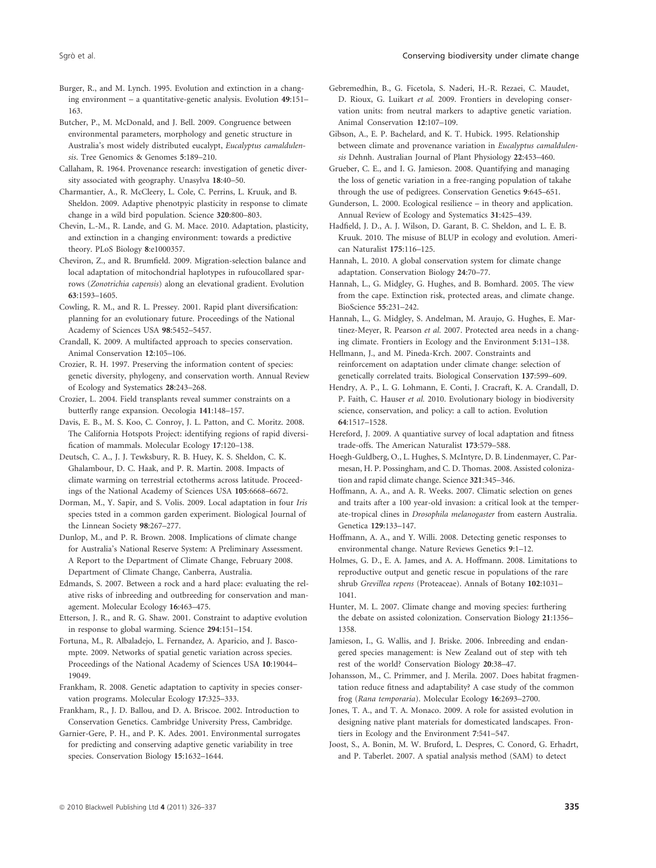- Burger, R., and M. Lynch. 1995. Evolution and extinction in a changing environment – a quantitative-genetic analysis. Evolution 49:151– 163.
- Butcher, P., M. McDonald, and J. Bell. 2009. Congruence between environmental parameters, morphology and genetic structure in Australia's most widely distributed eucalypt, Eucalyptus camaldulensis. Tree Genomics & Genomes 5:189–210.
- Callaham, R. 1964. Provenance research: investigation of genetic diversity associated with geography. Unasylva 18:40–50.
- Charmantier, A., R. McCleery, L. Cole, C. Perrins, L. Kruuk, and B. Sheldon. 2009. Adaptive phenotpyic plasticity in response to climate change in a wild bird population. Science 320:800–803.
- Chevin, L.-M., R. Lande, and G. M. Mace. 2010. Adaptation, plasticity, and extinction in a changing environment: towards a predictive theory. PLoS Biology 8:e1000357.
- Cheviron, Z., and R. Brumfield. 2009. Migration-selection balance and local adaptation of mitochondrial haplotypes in rufoucollared sparrows (Zonotrichia capensis) along an elevational gradient. Evolution 63:1593–1605.
- Cowling, R. M., and R. L. Pressey. 2001. Rapid plant diversification: planning for an evolutionary future. Proceedings of the National Academy of Sciences USA 98:5452–5457.
- Crandall, K. 2009. A multifacted approach to species conservation. Animal Conservation 12:105–106.
- Crozier, R. H. 1997. Preserving the information content of species: genetic diversity, phylogeny, and conservation worth. Annual Review of Ecology and Systematics 28:243–268.
- Crozier, L. 2004. Field transplants reveal summer constraints on a butterfly range expansion. Oecologia 141:148–157.
- Davis, E. B., M. S. Koo, C. Conroy, J. L. Patton, and C. Moritz. 2008. The California Hotspots Project: identifying regions of rapid diversification of mammals. Molecular Ecology 17:120–138.
- Deutsch, C. A., J. J. Tewksbury, R. B. Huey, K. S. Sheldon, C. K. Ghalambour, D. C. Haak, and P. R. Martin. 2008. Impacts of climate warming on terrestrial ectotherms across latitude. Proceedings of the National Academy of Sciences USA 105:6668–6672.
- Dorman, M., Y. Sapir, and S. Volis. 2009. Local adaptation in four Iris species tsted in a common garden experiment. Biological Journal of the Linnean Society 98:267–277.
- Dunlop, M., and P. R. Brown. 2008. Implications of climate change for Australia's National Reserve System: A Preliminary Assessment. A Report to the Department of Climate Change, February 2008. Department of Climate Change, Canberra, Australia.
- Edmands, S. 2007. Between a rock and a hard place: evaluating the relative risks of inbreeding and outbreeding for conservation and management. Molecular Ecology 16:463–475.
- Etterson, J. R., and R. G. Shaw. 2001. Constraint to adaptive evolution in response to global warming. Science 294:151–154.
- Fortuna, M., R. Albaladejo, L. Fernandez, A. Aparicio, and J. Bascompte. 2009. Networks of spatial genetic variation across species. Proceedings of the National Academy of Sciences USA 10:19044– 19049.
- Frankham, R. 2008. Genetic adaptation to captivity in species conservation programs. Molecular Ecology 17:325–333.
- Frankham, R., J. D. Ballou, and D. A. Briscoe. 2002. Introduction to Conservation Genetics. Cambridge University Press, Cambridge.
- Garnier-Gere, P. H., and P. K. Ades. 2001. Environmental surrogates for predicting and conserving adaptive genetic variability in tree species. Conservation Biology 15:1632–1644.
- Gebremedhin, B., G. Ficetola, S. Naderi, H.-R. Rezaei, C. Maudet, D. Rioux, G. Luikart et al. 2009. Frontiers in developing conservation units: from neutral markers to adaptive genetic variation. Animal Conservation 12:107–109.
- Gibson, A., E. P. Bachelard, and K. T. Hubick. 1995. Relationship between climate and provenance variation in Eucalyptus camaldulensis Dehnh. Australian Journal of Plant Physiology 22:453–460.
- Grueber, C. E., and I. G. Jamieson. 2008. Quantifying and managing the loss of genetic variation in a free-ranging population of takahe through the use of pedigrees. Conservation Genetics 9:645–651.
- Gunderson, L. 2000. Ecological resilience in theory and application. Annual Review of Ecology and Systematics 31:425–439.
- Hadfield, J. D., A. J. Wilson, D. Garant, B. C. Sheldon, and L. E. B. Kruuk. 2010. The misuse of BLUP in ecology and evolution. American Naturalist 175:116–125.
- Hannah, L. 2010. A global conservation system for climate change adaptation. Conservation Biology 24:70–77.
- Hannah, L., G. Midgley, G. Hughes, and B. Bomhard. 2005. The view from the cape. Extinction risk, protected areas, and climate change. BioScience 55:231–242.
- Hannah, L., G. Midgley, S. Andelman, M. Araujo, G. Hughes, E. Martinez-Meyer, R. Pearson et al. 2007. Protected area needs in a changing climate. Frontiers in Ecology and the Environment 5:131–138.
- Hellmann, J., and M. Pineda-Krch. 2007. Constraints and reinforcement on adaptation under climate change: selection of genetically correlated traits. Biological Conservation 137:599–609.
- Hendry, A. P., L. G. Lohmann, E. Conti, J. Cracraft, K. A. Crandall, D. P. Faith, C. Hauser et al. 2010. Evolutionary biology in biodiversity science, conservation, and policy: a call to action. Evolution 64:1517–1528.
- Hereford, J. 2009. A quantiative survey of local adaptation and fitness trade-offs. The American Naturalist 173:579–588.
- Hoegh-Guldberg, O., L. Hughes, S. McIntyre, D. B. Lindenmayer, C. Parmesan, H. P. Possingham, and C. D. Thomas. 2008. Assisted colonization and rapid climate change. Science 321:345–346.
- Hoffmann, A. A., and A. R. Weeks. 2007. Climatic selection on genes and traits after a 100 year-old invasion: a critical look at the temperate-tropical clines in Drosophila melanogaster from eastern Australia. Genetica 129:133–147.
- Hoffmann, A. A., and Y. Willi. 2008. Detecting genetic responses to environmental change. Nature Reviews Genetics 9:1–12.
- Holmes, G. D., E. A. James, and A. A. Hoffmann. 2008. Limitations to reproductive output and genetic rescue in populations of the rare shrub Grevillea repens (Proteaceae). Annals of Botany 102:1031– 1041.
- Hunter, M. L. 2007. Climate change and moving species: furthering the debate on assisted colonization. Conservation Biology 21:1356– 1358.
- Jamieson, I., G. Wallis, and J. Briske. 2006. Inbreeding and endangered species management: is New Zealand out of step with teh rest of the world? Conservation Biology 20:38–47.
- Johansson, M., C. Primmer, and J. Merila. 2007. Does habitat fragmentation reduce fitness and adaptability? A case study of the common frog (Rana temporaria). Molecular Ecology 16:2693–2700.
- Jones, T. A., and T. A. Monaco. 2009. A role for assisted evolution in designing native plant materials for domesticated landscapes. Frontiers in Ecology and the Environment 7:541–547.
- Joost, S., A. Bonin, M. W. Bruford, L. Despres, C. Conord, G. Erhadrt, and P. Taberlet. 2007. A spatial analysis method (SAM) to detect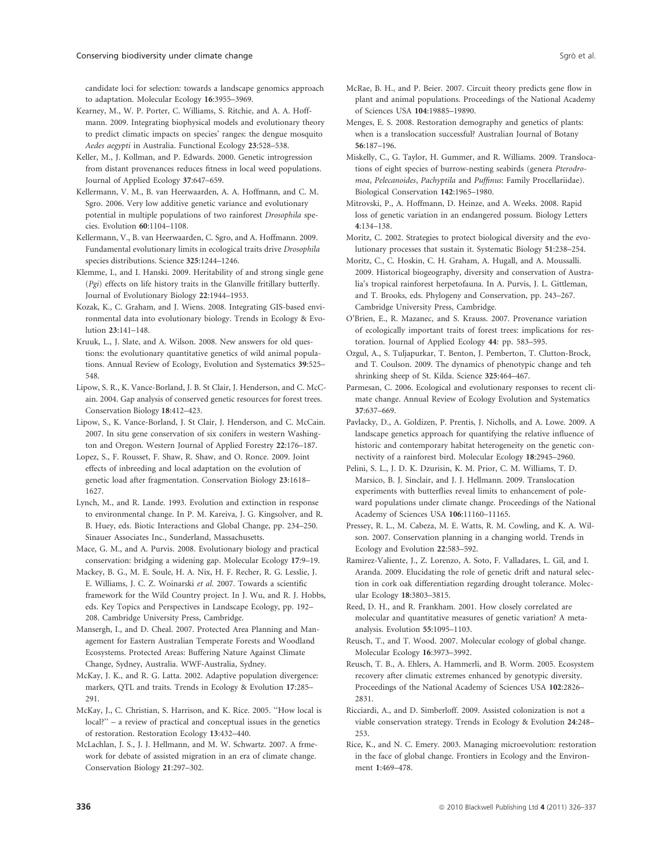candidate loci for selection: towards a landscape genomics approach to adaptation. Molecular Ecology 16:3955–3969.

Kearney, M., W. P. Porter, C. Williams, S. Ritchie, and A. A. Hoffmann. 2009. Integrating biophysical models and evolutionary theory to predict climatic impacts on species' ranges: the dengue mosquito Aedes aegypti in Australia. Functional Ecology 23:528–538.

Keller, M., J. Kollman, and P. Edwards. 2000. Genetic introgression from distant provenances reduces fitness in local weed populations. Journal of Applied Ecology 37:647–659.

Kellermann, V. M., B. van Heerwaarden, A. A. Hoffmann, and C. M. Sgro. 2006. Very low additive genetic variance and evolutionary potential in multiple populations of two rainforest Drosophila species. Evolution 60:1104–1108.

Kellermann, V., B. van Heerwaarden, C. Sgro, and A. Hoffmann. 2009. Fundamental evolutionary limits in ecological traits drive Drosophila species distributions. Science 325:1244–1246.

Klemme, I., and I. Hanski. 2009. Heritability of and strong single gene (Pgi) effects on life history traits in the Glanville fritillary butterfly. Journal of Evolutionary Biology 22:1944–1953.

Kozak, K., C. Graham, and J. Wiens. 2008. Integrating GIS-based environmental data into evolutionary biology. Trends in Ecology & Evolution 23:141–148.

Kruuk, L., J. Slate, and A. Wilson. 2008. New answers for old questions: the evolutionary quantitative genetics of wild animal populations. Annual Review of Ecology, Evolution and Systematics 39:525– 548.

Lipow, S. R., K. Vance-Borland, J. B. St Clair, J. Henderson, and C. McCain. 2004. Gap analysis of conserved genetic resources for forest trees. Conservation Biology 18:412–423.

Lipow, S., K. Vance-Borland, J. St Clair, J. Henderson, and C. McCain. 2007. In situ gene conservation of six conifers in western Washington and Oregon. Western Journal of Applied Forestry 22:176–187.

Lopez, S., F. Rousset, F. Shaw, R. Shaw, and O. Ronce. 2009. Joint effects of inbreeding and local adaptation on the evolution of genetic load after fragmentation. Conservation Biology 23:1618– 1627.

Lynch, M., and R. Lande. 1993. Evolution and extinction in response to environmental change. In P. M. Kareiva, J. G. Kingsolver, and R. B. Huey, eds. Biotic Interactions and Global Change, pp. 234–250. Sinauer Associates Inc., Sunderland, Massachusetts.

Mace, G. M., and A. Purvis. 2008. Evolutionary biology and practical conservation: bridging a widening gap. Molecular Ecology 17:9–19.

Mackey, B. G., M. E. Soule, H. A. Nix, H. F. Recher, R. G. Lesslie, J. E. Williams, J. C. Z. Woinarski et al. 2007. Towards a scientific framework for the Wild Country project. In J. Wu, and R. J. Hobbs, eds. Key Topics and Perspectives in Landscape Ecology, pp. 192– 208. Cambridge University Press, Cambridge.

Mansergh, I., and D. Cheal. 2007. Protected Area Planning and Management for Eastern Australian Temperate Forests and Woodland Ecosystems. Protected Areas: Buffering Nature Against Climate Change, Sydney, Australia. WWF-Australia, Sydney.

McKay, J. K., and R. G. Latta. 2002. Adaptive population divergence: markers, QTL and traits. Trends in Ecology & Evolution 17:285– 291.

McKay, J., C. Christian, S. Harrison, and K. Rice. 2005. ''How local is local?'' – a review of practical and conceptual issues in the genetics of restoration. Restoration Ecology 13:432–440.

McLachlan, J. S., J. J. Hellmann, and M. W. Schwartz. 2007. A frmework for debate of assisted migration in an era of climate change. Conservation Biology 21:297–302.

McRae, B. H., and P. Beier. 2007. Circuit theory predicts gene flow in plant and animal populations. Proceedings of the National Academy of Sciences USA 104:19885–19890.

Menges, E. S. 2008. Restoration demography and genetics of plants: when is a translocation successful? Australian Journal of Botany 56:187–196.

Miskelly, C., G. Taylor, H. Gummer, and R. Williams. 2009. Translocations of eight species of burrow-nesting seabirds (genera Pterodromoa, Pelecanoides, Pachyptila and Puffinus: Family Procellariidae). Biological Conservation 142:1965–1980.

Mitrovski, P., A. Hoffmann, D. Heinze, and A. Weeks. 2008. Rapid loss of genetic variation in an endangered possum. Biology Letters 4:134–138.

Moritz, C. 2002. Strategies to protect biological diversity and the evolutionary processes that sustain it. Systematic Biology 51:238–254.

Moritz, C., C. Hoskin, C. H. Graham, A. Hugall, and A. Moussalli. 2009. Historical biogeography, diversity and conservation of Australia's tropical rainforest herpetofauna. In A. Purvis, J. L. Gittleman, and T. Brooks, eds. Phylogeny and Conservation, pp. 243–267. Cambridge University Press, Cambridge.

O'Brien, E., R. Mazanec, and S. Krauss. 2007. Provenance variation of ecologically important traits of forest trees: implications for restoration. Journal of Applied Ecology 44: pp. 583–595.

Ozgul, A., S. Tuljapurkar, T. Benton, J. Pemberton, T. Clutton-Brock, and T. Coulson. 2009. The dynamics of phenotypic change and teh shrinking sheep of St. Kilda. Science 325:464–467.

Parmesan, C. 2006. Ecological and evolutionary responses to recent climate change. Annual Review of Ecology Evolution and Systematics 37:637–669.

Pavlacky, D., A. Goldizen, P. Prentis, J. Nicholls, and A. Lowe. 2009. A landscape genetics approach for quantifying the relative influence of historic and contemporary habitat heterogeneity on the genetic connectivity of a rainforest bird. Molecular Ecology 18:2945–2960.

Pelini, S. L., J. D. K. Dzurisin, K. M. Prior, C. M. Williams, T. D. Marsico, B. J. Sinclair, and J. J. Hellmann. 2009. Translocation experiments with butterflies reveal limits to enhancement of poleward populations under climate change. Proceedings of the National Academy of Sciences USA 106:11160–11165.

Pressey, R. L., M. Cabeza, M. E. Watts, R. M. Cowling, and K. A. Wilson. 2007. Conservation planning in a changing world. Trends in Ecology and Evolution 22:583–592.

Ramirez-Valiente, J., Z. Lorenzo, A. Soto, F. Valladares, L. Gil, and I. Aranda. 2009. Elucidating the role of genetic drift and natural selection in cork oak differentiation regarding drought tolerance. Molecular Ecology 18:3803–3815.

Reed, D. H., and R. Frankham. 2001. How closely correlated are molecular and quantitative measures of genetic variation? A metaanalysis. Evolution 55:1095–1103.

Reusch, T., and T. Wood. 2007. Molecular ecology of global change. Molecular Ecology 16:3973–3992.

Reusch, T. B., A. Ehlers, A. Hammerli, and B. Worm. 2005. Ecosystem recovery after climatic extremes enhanced by genotypic diversity. Proceedings of the National Academy of Sciences USA 102:2826– 2831.

Ricciardi, A., and D. Simberloff. 2009. Assisted colonization is not a viable conservation strategy. Trends in Ecology & Evolution 24:248– 253.

Rice, K., and N. C. Emery. 2003. Managing microevolution: restoration in the face of global change. Frontiers in Ecology and the Environment 1:469–478.